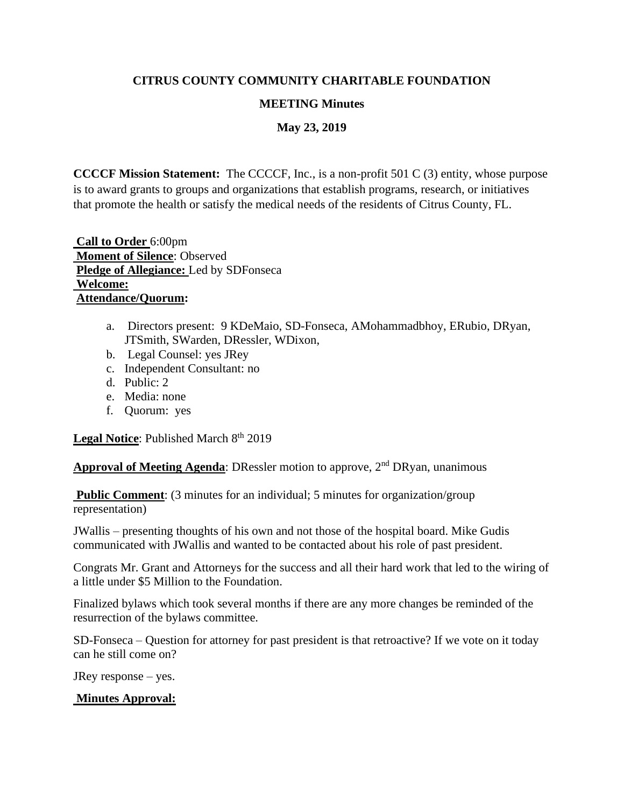# **CITRUS COUNTY COMMUNITY CHARITABLE FOUNDATION**

# **MEETING Minutes**

**May 23, 2019**

**CCCCF Mission Statement:** The CCCCF, Inc., is a non-profit 501 C (3) entity, whose purpose is to award grants to groups and organizations that establish programs, research, or initiatives that promote the health or satisfy the medical needs of the residents of Citrus County, FL.

**Call to Order** 6:00pm **Moment of Silence**: Observed **Pledge of Allegiance:** Led by SDFonseca **Welcome: Attendance/Quorum:** 

- a. Directors present: 9 KDeMaio, SD-Fonseca, AMohammadbhoy, ERubio, DRyan, JTSmith, SWarden, DRessler, WDixon,
- b. Legal Counsel: yes JRey
- c. Independent Consultant: no
- d. Public: 2
- e. Media: none
- f. Quorum: yes

Legal Notice: Published March 8<sup>th</sup> 2019

**Approval of Meeting Agenda:** DRessler motion to approve, 2<sup>nd</sup> DRyan, unanimous

**Public Comment:** (3 minutes for an individual; 5 minutes for organization/group representation)

JWallis – presenting thoughts of his own and not those of the hospital board. Mike Gudis communicated with JWallis and wanted to be contacted about his role of past president.

Congrats Mr. Grant and Attorneys for the success and all their hard work that led to the wiring of a little under \$5 Million to the Foundation.

Finalized bylaws which took several months if there are any more changes be reminded of the resurrection of the bylaws committee.

SD-Fonseca – Question for attorney for past president is that retroactive? If we vote on it today can he still come on?

JRey response – yes.

# **Minutes Approval:**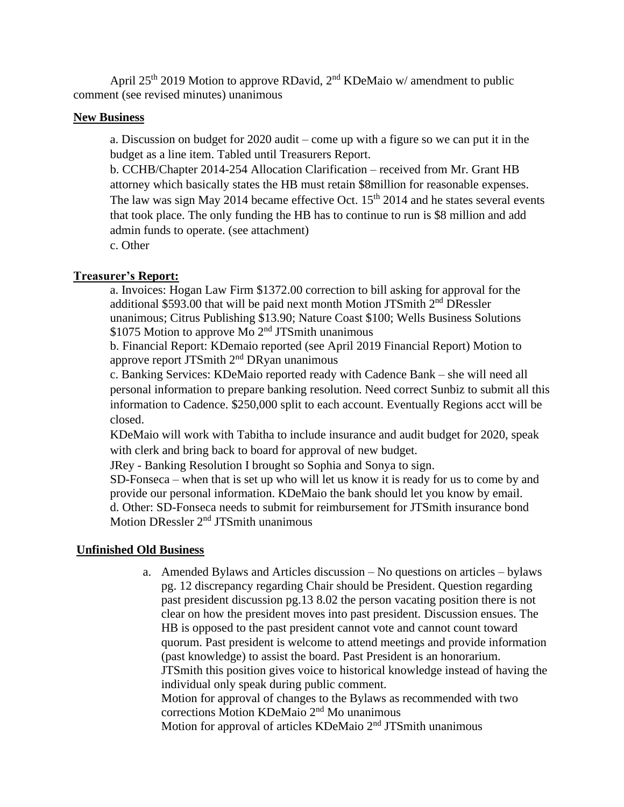April 25<sup>th</sup> 2019 Motion to approve RDavid, 2<sup>nd</sup> KDeMaio w/ amendment to public comment (see revised minutes) unanimous

# **New Business**

a. Discussion on budget for 2020 audit – come up with a figure so we can put it in the budget as a line item. Tabled until Treasurers Report.

b. CCHB/Chapter 2014-254 Allocation Clarification – received from Mr. Grant HB attorney which basically states the HB must retain \$8million for reasonable expenses. The law was sign May 2014 became effective Oct.  $15<sup>th</sup>$  2014 and he states several events that took place. The only funding the HB has to continue to run is \$8 million and add admin funds to operate. (see attachment)

c. Other

# **Treasurer's Report:**

a. Invoices: Hogan Law Firm \$1372.00 correction to bill asking for approval for the additional \$593.00 that will be paid next month Motion JTSmith  $2<sup>nd</sup>$  DRessler unanimous; Citrus Publishing \$13.90; Nature Coast \$100; Wells Business Solutions  $$1075$  Motion to approve Mo  $2<sup>nd</sup>$  JTSmith unanimous

b. Financial Report: KDemaio reported (see April 2019 Financial Report) Motion to approve report JTSmith 2nd DRyan unanimous

c. Banking Services: KDeMaio reported ready with Cadence Bank – she will need all personal information to prepare banking resolution. Need correct Sunbiz to submit all this information to Cadence. \$250,000 split to each account. Eventually Regions acct will be closed.

KDeMaio will work with Tabitha to include insurance and audit budget for 2020, speak with clerk and bring back to board for approval of new budget.

JRey - Banking Resolution I brought so Sophia and Sonya to sign.

SD-Fonseca – when that is set up who will let us know it is ready for us to come by and provide our personal information. KDeMaio the bank should let you know by email. d. Other: SD-Fonseca needs to submit for reimbursement for JTSmith insurance bond Motion DRessler  $2<sup>nd</sup>$  JTSmith unanimous

# **Unfinished Old Business**

a. Amended Bylaws and Articles discussion – No questions on articles – bylaws pg. 12 discrepancy regarding Chair should be President. Question regarding past president discussion pg.13 8.02 the person vacating position there is not clear on how the president moves into past president. Discussion ensues. The HB is opposed to the past president cannot vote and cannot count toward quorum. Past president is welcome to attend meetings and provide information (past knowledge) to assist the board. Past President is an honorarium. JTSmith this position gives voice to historical knowledge instead of having the individual only speak during public comment. Motion for approval of changes to the Bylaws as recommended with two corrections Motion KDeMaio 2nd Mo unanimous Motion for approval of articles KDeMaio 2nd JTSmith unanimous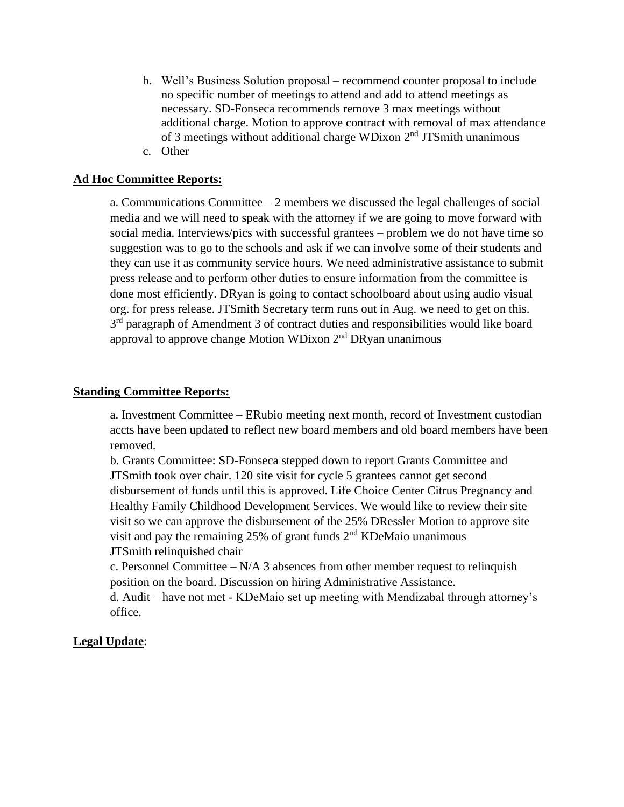b. Well's Business Solution proposal – recommend counter proposal to include no specific number of meetings to attend and add to attend meetings as necessary. SD-Fonseca recommends remove 3 max meetings without additional charge. Motion to approve contract with removal of max attendance of 3 meetings without additional charge WDixon  $2<sup>nd</sup>$  JTSmith unanimous c. Other

# **Ad Hoc Committee Reports:**

a. Communications Committee  $-2$  members we discussed the legal challenges of social media and we will need to speak with the attorney if we are going to move forward with social media. Interviews/pics with successful grantees – problem we do not have time so suggestion was to go to the schools and ask if we can involve some of their students and they can use it as community service hours. We need administrative assistance to submit press release and to perform other duties to ensure information from the committee is done most efficiently. DRyan is going to contact schoolboard about using audio visual org. for press release. JTSmith Secretary term runs out in Aug. we need to get on this. 3<sup>rd</sup> paragraph of Amendment 3 of contract duties and responsibilities would like board approval to approve change Motion WDixon 2<sup>nd</sup> DRyan unanimous

### **Standing Committee Reports:**

a. Investment Committee – ERubio meeting next month, record of Investment custodian accts have been updated to reflect new board members and old board members have been removed.

b. Grants Committee: SD-Fonseca stepped down to report Grants Committee and JTSmith took over chair. 120 site visit for cycle 5 grantees cannot get second disbursement of funds until this is approved. Life Choice Center Citrus Pregnancy and Healthy Family Childhood Development Services. We would like to review their site visit so we can approve the disbursement of the 25% DRessler Motion to approve site visit and pay the remaining 25% of grant funds 2nd KDeMaio unanimous JTSmith relinquished chair

c. Personnel Committee –  $N/A$  3 absences from other member request to relinquish position on the board. Discussion on hiring Administrative Assistance.

d. Audit – have not met - KDeMaio set up meeting with Mendizabal through attorney's office.

# **Legal Update**: